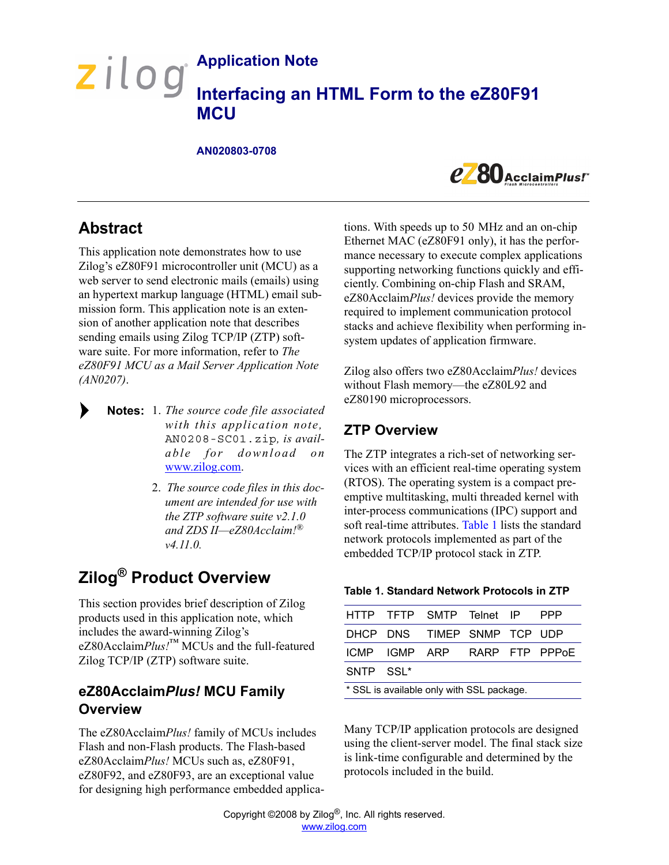# **Application Note**  zilog **Interfacing an HTML Form to the eZ80F91 MCU**

#### **AN020803-0708**



# **Abstract**

This application note demonstrates how to use Zilog's eZ80F91 microcontroller unit (MCU) as a web server to send electronic mails (emails) using an hypertext markup language (HTML) email submission form. This application note is an extension of another application note that describes sending emails using Zilog TCP/IP (ZTP) software suite. For more information, refer to *The eZ80F91 MCU as a Mail Server Application Note (AN0207)*.

- 1. *The source code file associated* **Notes:** *with this application note,* AN0208-SC01.zip*, is available for download on* [www.zilog.com.](http://www.ZiLOG.com)
	- 2. *The source code files in this document are intended for use with the ZTP software suite v2.1.0 and ZDS II—eZ80Acclaim!® v4.11.0[.](http://www.ZiLOG.com)*

# **Zilog® Product Overview**

This section provides brief description of Zilog products used in this application note, which includes the award-winning Zilog's eZ80Acclaim*Plus!*™ MCUs and the full-featured Zilog TCP/IP (ZTP) software suite.

# **eZ80Acclaim***Plus!* **MCU Family Overview**

The eZ80Acclaim*Plus!* family of MCUs includes Flash and non-Flash products. The Flash-based eZ80Acclaim*Plus!* MCUs such as, eZ80F91, eZ80F92, and eZ80F93, are an exceptional value for designing high performance embedded applications. With speeds up to 50 MHz and an on-chip Ethernet MAC (eZ80F91 only), it has the performance necessary to execute complex applications supporting networking functions quickly and efficiently. Combining on-chip Flash and SRAM, eZ80Acclaim*Plus!* devices provide the memory required to implement communication protocol stacks and achieve flexibility when performing insystem updates of application firmware.

Zilog also offers two eZ80Acclaim*Plus!* devices without Flash memory—the eZ80L92 and eZ80190 microprocessors.

## **ZTP Overview**

The ZTP integrates a rich-set of networking services with an efficient real-time operating system (RTOS). The operating system is a compact preemptive multitasking, multi threaded kernel with inter-process communications (IPC) support and soft real-time attributes. [Table 1](#page-0-0) lists the standard network protocols implemented as part of the embedded TCP/IP protocol stack in ZTP.

#### <span id="page-0-0"></span>**Table 1. Standard Network Protocols in ZTP**

|                                           |  | HTTP TFTP SMTP Telnet IP     |  |  | <b>PPP</b> |  |
|-------------------------------------------|--|------------------------------|--|--|------------|--|
|                                           |  | DHCP DNS TIMEP SNMP TCP UDP  |  |  |            |  |
|                                           |  | ICMP IGMP ARP RARP FTP PPPOE |  |  |            |  |
| SNTP SSL <sup>*</sup>                     |  |                              |  |  |            |  |
| * SSL is available only with SSL package. |  |                              |  |  |            |  |

Many TCP/IP application protocols are designed using the client-server model. The final stack size is link-time configurable and determined by the protocols included in the build.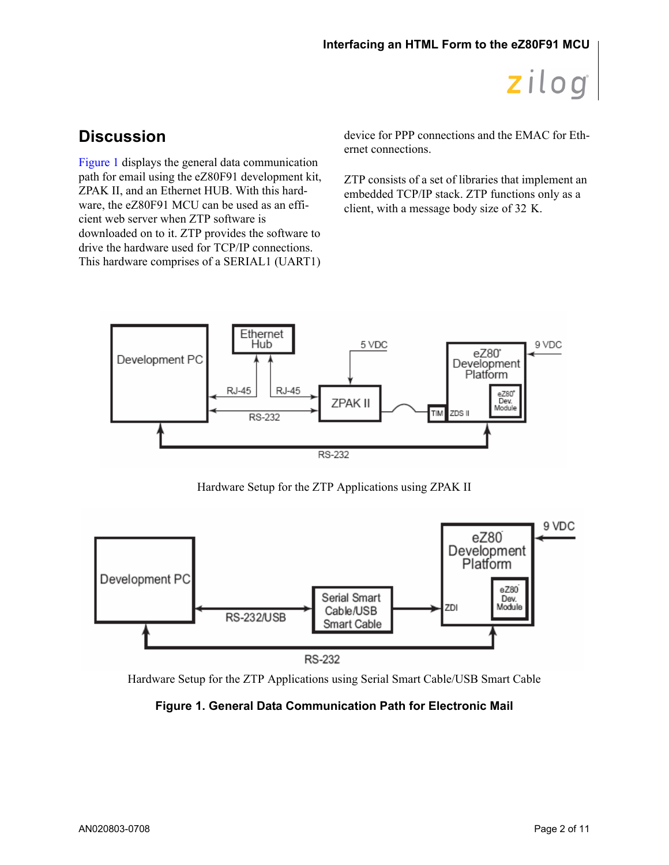# **Discussion**

[Figure 1](#page-1-0) displays the general data communication path for email using the eZ80F91 development kit, ZPAK II, and an Ethernet HUB. With this hardware, the eZ80F91 MCU can be used as an efficient web server when ZTP software is downloaded on to it. ZTP provides the software to drive the hardware used for TCP/IP connections. This hardware comprises of a SERIAL1 (UART1)

device for PPP connections and the EMAC for Ethernet connections.

ZTP consists of a set of libraries that implement an embedded TCP/IP stack. ZTP functions only as a client, with a message body size of 32 K.



Hardware Setup for the ZTP Applications using ZPAK II



<span id="page-1-0"></span>

**Figure 1. General Data Communication Path for Electronic Mail**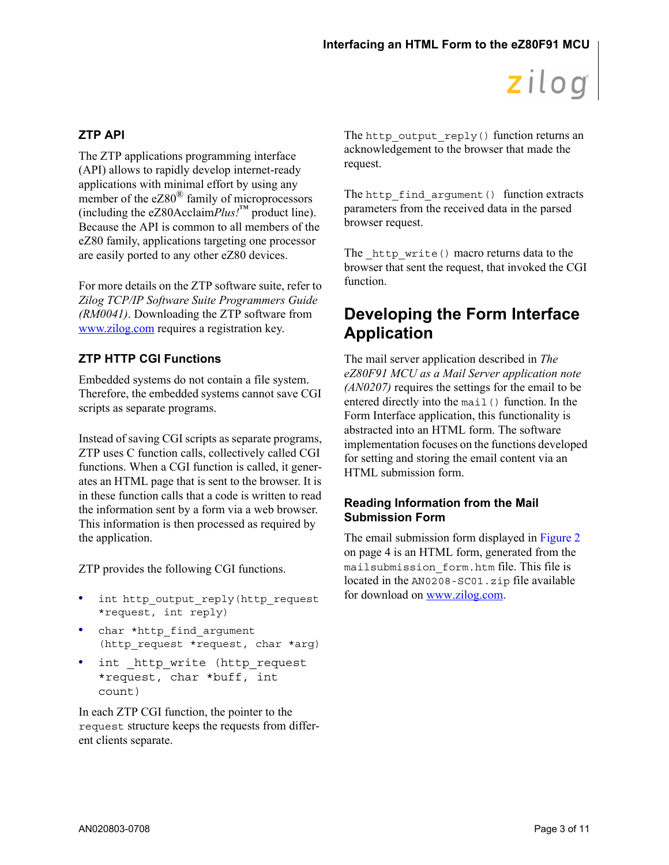### **ZTP API**

The ZTP applications programming interface (API) allows to rapidly develop internet-ready applications with minimal effort by using any member of the  $eZ80^{\circ}$  family of microprocessors (including the eZ80Acclaim $Plus!^{\text{TM}}$  product line). Because the API is common to all members of the eZ80 family, applications targeting one processor are easily ported to any other eZ80 devices.

For more details on the ZTP software suite, refer to *Zilog TCP/IP Software Suite Programmers Guide (RM0041)*. Downloading the ZTP software from [www.zilog.com](http://www.zilog.com) requires a registration key.

### **ZTP HTTP CGI Functions**

Embedded systems do not contain a file system. Therefore, the embedded systems cannot save CGI scripts as separate programs.

Instead of saving CGI scripts as separate programs, ZTP uses C function calls, collectively called CGI functions. When a CGI function is called, it generates an HTML page that is sent to the browser. It is in these function calls that a code is written to read the information sent by a form via a web browser. This information is then processed as required by the application.

ZTP provides the following CGI functions.

- **•** int http\_output\_reply(http\_request \*request, int reply)
- char \*http find argument (http request \*request, char \*arg)
- int http write (http request \*request, char \*buff, int count)

In each ZTP CGI function, the pointer to the request structure keeps the requests from different clients separate.

The http\_output\_reply() function returns an acknowledgement to the browser that made the request.

The http find argument() function extracts parameters from the received data in the parsed browser request.

The http write() macro returns data to the browser that sent the request, that invoked the CGI function.

# **Developing the Form Interface Application**

The mail server application described in *The eZ80F91 MCU as a Mail Server application note (AN0207)* requires the settings for the email to be entered directly into the mail() function. In the Form Interface application, this functionality is abstracted into an HTML form. The software implementation focuses on the functions developed for setting and storing the email content via an HTML submission form.

#### **Reading Information from the Mail Submission Form**

The email submission form displayed in [Figure 2](#page-3-0) [on page 4](#page-3-0) is an HTML form, generated from the mailsubmission\_form.htm file. This file is located in the AN0208-SC01.zip file available for download on [www.zilog.com.](http://www.zilog.com)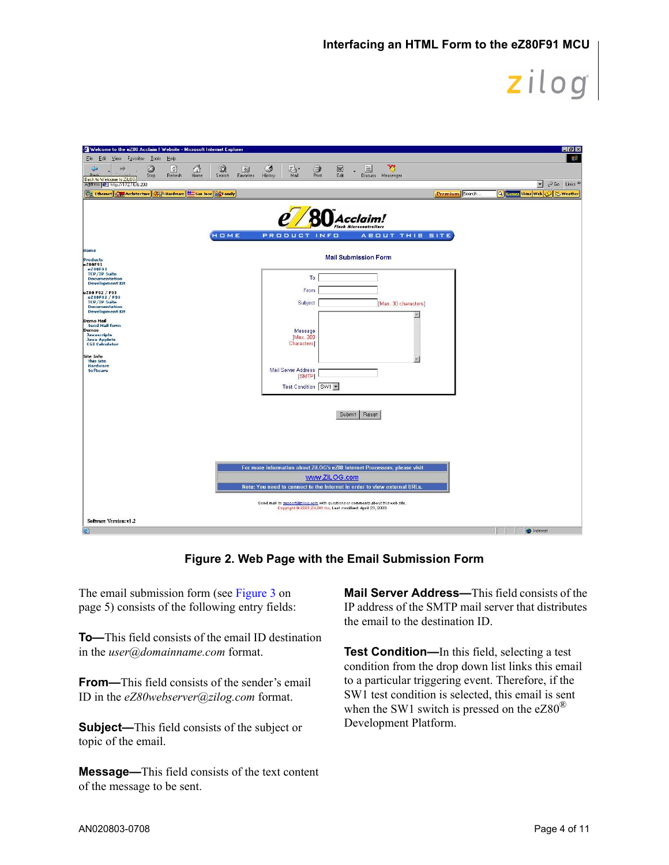| Welcome to the eZ80 Acclaim ! Website - Microsoft Internet Explorer                                                                                |                                                                                                                                             |                 | <b>EE</b>                                       |
|----------------------------------------------------------------------------------------------------------------------------------------------------|---------------------------------------------------------------------------------------------------------------------------------------------|-----------------|-------------------------------------------------|
| File Edit View Favorites Tools<br>Help                                                                                                             |                                                                                                                                             |                 | 曲                                               |
| ₫<br>$\mathcal{Q}$<br>0<br>$\left\lfloor \frac{a}{b} \right\rfloor$<br>$\Leftrightarrow$<br>mb<br>Home<br><b>Dash</b><br>Refresh<br>Search<br>Stop | 70<br>窗<br>Ø<br>$\mathbb{R}$<br>國<br>E<br>$\triangleq$<br>Print<br>Edit<br>History<br>Mail<br>Favorites<br>Discuss Messenger                |                 |                                                 |
| Back to Welcome to ZiLOG<br>Address 2 http://172.16.6.200                                                                                          |                                                                                                                                             |                 | PGo Links <sup>33</sup><br>$\blacktriangledown$ |
| Ethernet Camp Architecture 2 & Hardware San Jose & Family                                                                                          |                                                                                                                                             | Premium Search. | Q Came: Skins Web C Weather                     |
|                                                                                                                                                    |                                                                                                                                             |                 |                                                 |
|                                                                                                                                                    | A <i>cclaim!</i>                                                                                                                            |                 |                                                 |
|                                                                                                                                                    | <b>Flash Microcontrollers</b>                                                                                                               |                 |                                                 |
| HOME                                                                                                                                               | PRODUCT INFO<br><b>ABOUT THIS SITE</b>                                                                                                      |                 |                                                 |
| Home                                                                                                                                               |                                                                                                                                             |                 |                                                 |
| Products<br>e280F91                                                                                                                                | <b>Mail Submission Form</b>                                                                                                                 |                 |                                                 |
| eZ80F91<br><b>TCP/IP Suite</b><br><b>Documentation</b>                                                                                             | To:                                                                                                                                         |                 |                                                 |
| <b>Development Kit</b>                                                                                                                             | From                                                                                                                                        |                 |                                                 |
| eZ80 F92 / F93<br>eZ80F92 / F93<br><b>TCP/IP Suite</b>                                                                                             | Subject                                                                                                                                     |                 |                                                 |
| <b>Documentation</b><br><b>Development Kit</b>                                                                                                     | [Max. 30 characters]                                                                                                                        |                 |                                                 |
| Demo Mail<br><b>Send Mail form</b>                                                                                                                 |                                                                                                                                             |                 |                                                 |
| Demos<br><b>Javascripts</b>                                                                                                                        | Message<br>[Max. 300                                                                                                                        |                 |                                                 |
| <b>Java Applets</b><br><b>CGI Calculator</b>                                                                                                       | <b>Characters</b>                                                                                                                           |                 |                                                 |
| Site Info<br><b>This Site</b>                                                                                                                      |                                                                                                                                             |                 |                                                 |
| Hardware<br>Software                                                                                                                               | Mail Server Address                                                                                                                         |                 |                                                 |
|                                                                                                                                                    | [SMTP]                                                                                                                                      |                 |                                                 |
|                                                                                                                                                    | Test Condition SW1                                                                                                                          |                 |                                                 |
|                                                                                                                                                    |                                                                                                                                             |                 |                                                 |
|                                                                                                                                                    | Reset<br>Submit                                                                                                                             |                 |                                                 |
|                                                                                                                                                    |                                                                                                                                             |                 |                                                 |
|                                                                                                                                                    |                                                                                                                                             |                 |                                                 |
|                                                                                                                                                    |                                                                                                                                             |                 |                                                 |
|                                                                                                                                                    |                                                                                                                                             |                 |                                                 |
|                                                                                                                                                    | For more information about ZiLOG's eZ80 Internet Processors, please visit                                                                   |                 |                                                 |
|                                                                                                                                                    | www.ZiLOG.com<br>Note: You need to connect to the Internet in order to view external URLs.                                                  |                 |                                                 |
|                                                                                                                                                    |                                                                                                                                             |                 |                                                 |
|                                                                                                                                                    | Send mail to support@zilog.com with questions or comments about this web site.<br>Copyright @ 2003 ZILOG Inc. Last modified: April 23, 2003 |                 |                                                 |
| Software Version: vl .2                                                                                                                            |                                                                                                                                             |                 |                                                 |
| 圈                                                                                                                                                  |                                                                                                                                             |                 | <b>b</b> Internet                               |

**Figure 2. Web Page with the Email Submission Form**

<span id="page-3-0"></span>The email submission form (see [Figure 3 on](#page-4-0)  [page 5\)](#page-4-0) consists of the following entry fields:

**To—**This field consists of the email ID destination in the *user@domainname.com* format.

**From—**This field consists of the sender's email ID in the *eZ80webserver@zilog.com* format.

**Subject—**This field consists of the subject or topic of the email.

**Message—**This field consists of the text content of the message to be sent.

**Mail Server Address—**This field consists of the IP address of the SMTP mail server that distributes the email to the destination ID.

**Test Condition—**In this field, selecting a test condition from the drop down list links this email to a particular triggering event. Therefore, if the SW1 test condition is selected, this email is sent when the SW1 switch is pressed on the  $eZ80^{\circledR}$ Development Platform.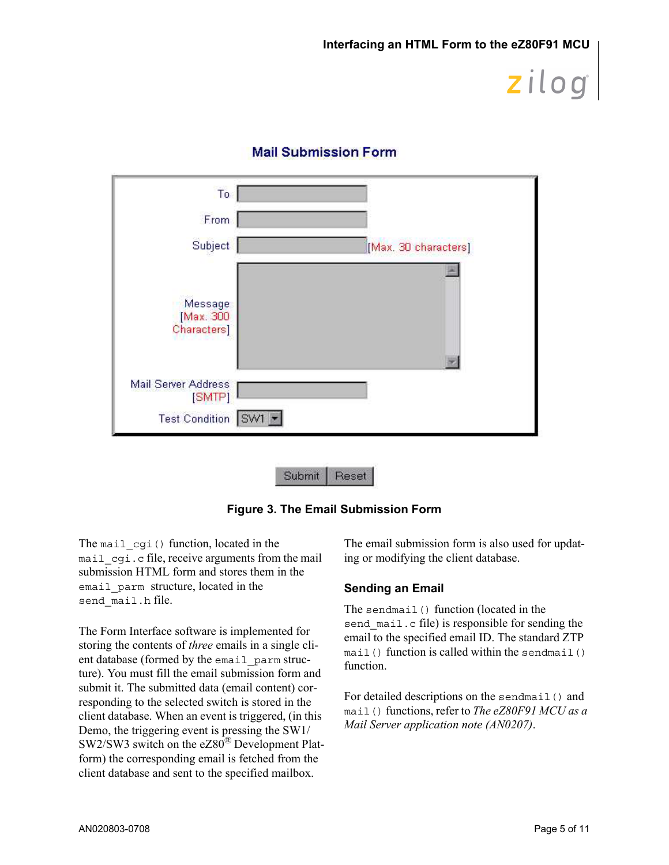| T <sub>o</sub>                      |                      |
|-------------------------------------|----------------------|
| From                                |                      |
| Subject                             | [Max. 30 characters] |
| Message<br>[Max. 300<br>Characters] |                      |
| Mail Server Address<br>[SMTP]       |                      |
| Test Condition SW1                  |                      |

## **Mail Submission Form**

**Figure 3. The Email Submission Form**

Reset

Submit

<span id="page-4-0"></span>The mail cqi() function, located in the mail cgi.c file, receive arguments from the mail submission HTML form and stores them in the email parm structure, located in the send\_mail.h file.

The Form Interface software is implemented for storing the contents of *three* emails in a single client database (formed by the email\_parm structure). You must fill the email submission form and submit it. The submitted data (email content) corresponding to the selected switch is stored in the client database. When an event is triggered, (in this Demo, the triggering event is pressing the SW1/ SW2/SW3 switch on the eZ80® Development Platform) the corresponding email is fetched from the client database and sent to the specified mailbox.

The email submission form is also used for updating or modifying the client database.

### **Sending an Email**

The sendmail() function (located in the send mail.c file) is responsible for sending the email to the specified email ID. The standard ZTP  $mail()$  function is called within the sendmail() function.

For detailed descriptions on the sendmail() and mail() functions, refer to *The eZ80F91 MCU as a Mail Server application note (AN0207)*.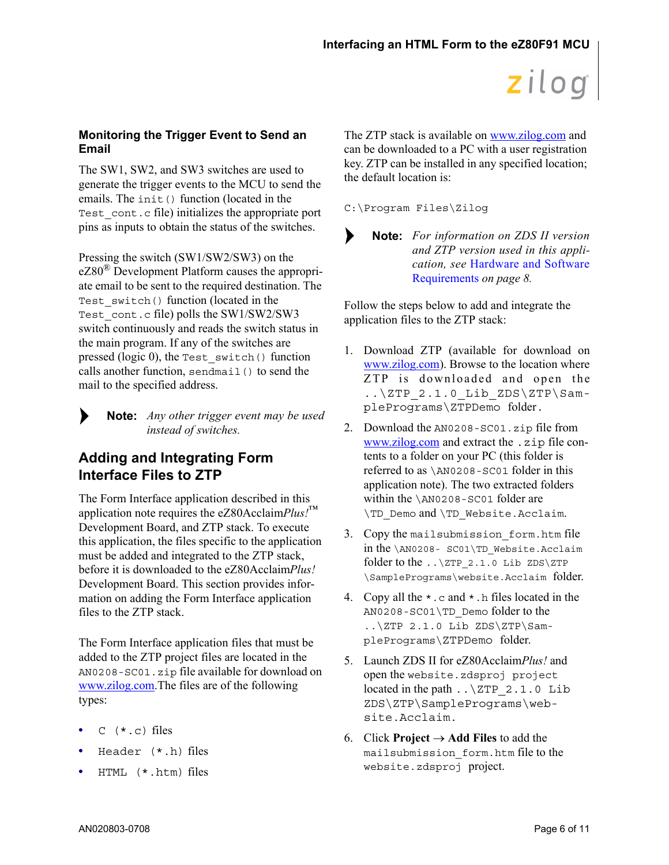### **Monitoring the Trigger Event to Send an Email**

The SW1, SW2, and SW3 switches are used to generate the trigger events to the MCU to send the emails. The init () function (located in the Test cont.c file) initializes the appropriate port pins as inputs to obtain the status of the switches.

Pressing the switch (SW1/SW2/SW3) on the eZ80<sup>®</sup> Development Platform causes the appropriate email to be sent to the required destination. The Test switch() function (located in the Test\_cont.c file) polls the SW1/SW2/SW3 switch continuously and reads the switch status in the main program. If any of the switches are pressed (logic 0), the Test\_switch() function calls another function, sendmail() to send the mail to the specified address.

*Any other trigger event may be used* **Note:** *instead of switches.*

## <span id="page-5-0"></span>**Adding and Integrating Form Interface Files to ZTP**

The Form Interface application described in this application note requires the eZ80Acclaim*Plus!*™ Development Board, and ZTP stack. To execute this application, the files specific to the application must be added and integrated to the ZTP stack, before it is downloaded to the eZ80Acclaim*Plus!* Development Board. This section provides information on adding the Form Interface application files to the ZTP stack.

The Form Interface application files that must be added to the ZTP project files are located in the AN0208-SC01.zip file available for download on [www.zilog.com](http://www.zilog.com)[.](http://www.ZiLOG.com)The files are of the following types:

- $\sigma$  ( $\star$ ,  $\sigma$ ) files
- **•** Header (\*.h) files
- **•** HTML (\*.htm) files

The ZTP stack is available on [www.zilog.com](http://www.zilog.com) and can be downloaded to a PC with a user registration key. ZTP can be installed in any specified location; the default location is:

C:\Program Files\Zilog



*For information on ZDS II version* **Note:***and ZTP version used in this application, see* [Hardware and Software](#page-7-0) [Requirements](#page-7-0) *[on page 8](#page-7-0).*

Follow the steps below to add and integrate the application files to the ZTP stack:

- 1. Download ZTP (available for download on [www.zilog.com](http://www.zilog.com)). Browse to the location where ZTP is downloaded and open the  $\ldots$  \ZTP 2.1.0 Lib ZDS\ZTP\SamplePrograms\ZTPDemo folder.
- 2. Download the AN0208-SC01.zip file from [www.zilog.com](http://www.zilog.com) and extract the .zip file contents to a folder on your PC (this folder is referred to as \AN0208-SC01 folder in this application note). The two extracted folders within the \AN0208-SC01 folder are \TD\_Demo and \TD\_Website.Acclaim.
- 3. Copy the mailsubmission\_form.htm file in the \AN0208- SC01\TD\_Website.Acclaim folder to the  $\ldots$   $\ZTP$  2.1.0 Lib ZDS\ZTP \SamplePrograms\website.Acclaim folder.
- 4. Copy all the  $\star$ . c and  $\star$ . h files located in the AN0208-SC01\TD\_Demo folder to the ..\ZTP 2.1.0 Lib ZDS\ZTP\SamplePrograms\ZTPDemo folder.
- 5. Launch ZDS II for eZ80Acclaim*Plus!* and open the website.zdsproj project located in the path  $\ldots$  \ZTP 2.1.0 Lib ZDS\ZTP\SamplePrograms\website.Acclaim.
- 6. Click **Project**  $\rightarrow$  **Add Files** to add the mailsubmission\_form.htm file to the website.zdsproj project.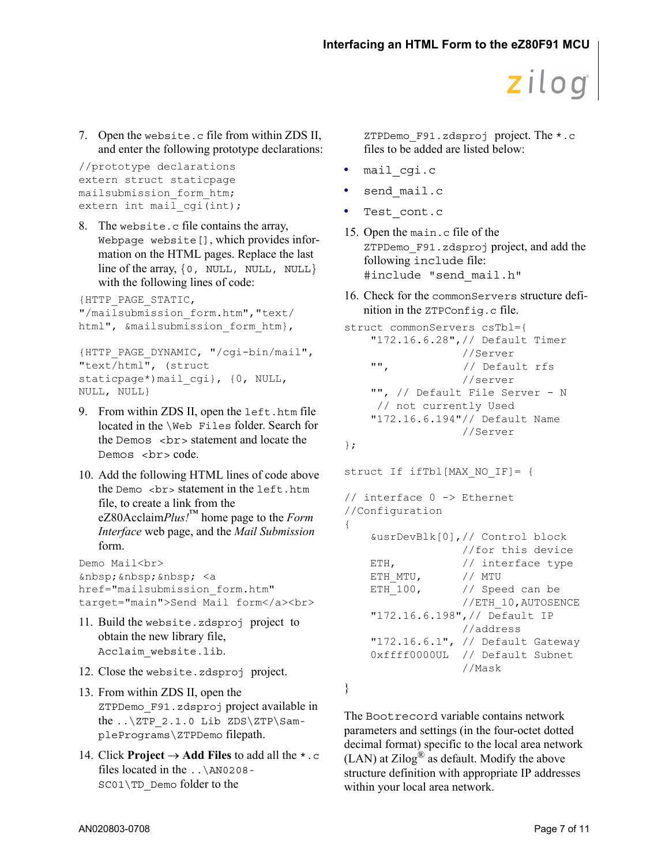7. Open the website.c file from within ZDS II, and enter the following prototype declarations:

```
//prototype declarations 
extern struct staticpage 
mailsubmission_form_htm;
extern int mail cgi(int);
```
8. The website.c file contains the array, Webpage website[], which provides information on the HTML pages. Replace the last line of the array,  $\{0, \text{NULL}, \text{NULL}, \text{NULL}\}$ with the following lines of code:

```
{HTTP_PAGE_STATIC,
"/mailsubmission_form.htm","text/
html", &mailsubmission form htm},
```

```
{HTTP_PAGE_DYNAMIC, "/cgi-bin/mail", 
"text/html", (struct 
staticpage*)mail cgi}, {0, NULL,
NULL, NULL}
```
- 9. From within ZDS II, open the left.htm file located in the \Web Files folder. Search for the Demos  $\langle$ br $\rangle$  statement and locate the Demos <br> code.
- 10. Add the following HTML lines of code above the Demo  $\langle b \rangle$  statement in the left.htm file, to create a link from the eZ80Acclaim*Plus!*™ home page to the *Form Interface* web page, and the *Mail Submission* form.

```
Demo Mail<br>
\&nbsp; \&nbsp; \&nbsp; <a
href="mailsubmission_form.htm" 
target="main">Send Mail form</a><br>
```
- 11. Build the website.zdsproj project to obtain the new library file, Acclaim\_website.lib.
- 12. Close the website.zdsproj project.
- 13. From within ZDS II, open the ZTPDemo\_F91.zdsproj project available in the  $.\rangle$ ZTP 2.1.0 Lib ZDS\ZTP\SamplePrograms\ZTPDemo filepath.
- 14. Click **Project**  $\rightarrow$  **Add Files** to add all the  $\star$ .c files located in the ..\AN0208- SC01\TD\_Demo folder to the

ZTPDemo\_F91.zdsproj project. The \*.c files to be added are listed below:

- **•** mail\_cgi.c
- **•** send\_mail.c
- **•** Test\_cont.c
- 15. Open the main.c file of the ZTPDemo\_F91.zdsproj project, and add the following include file: #include "send mail.h"
- 16. Check for the commonServers structure definition in the ZTPConfig.c file.

```
struct commonServers csTbl={
   "172.16.6.28",// Default Timer
                 //Server
   "", // Default rfs 
                 //server 
    "", // Default File Server - N 
     // not currently Used
   "172.16.6.194"// Default Name 
                 //Server
```

```
};
```

```
struct If ifTbl[MAX NO IF]= {
// interface 0 -> Ethernet
//Configuration
{
   &usrDevBlk[0],// Control block 
                 //for this device 
   ETH, // interface type
   ETH MTU, // MTU
   ETH 100, // Speed can be
                 //ETH_10,AUTOSENCE 
   "172.16.6.198",// Default IP
                 //address 
   "172.16.6.1", // Default Gateway 
   0xffff0000UL // Default Subnet
                 //Mask
```
}

The Bootrecord variable contains network parameters and settings (in the four-octet dotted decimal format) specific to the local area network (LAN) at Zilog® as default. Modify the above structure definition with appropriate IP addresses within your local area network.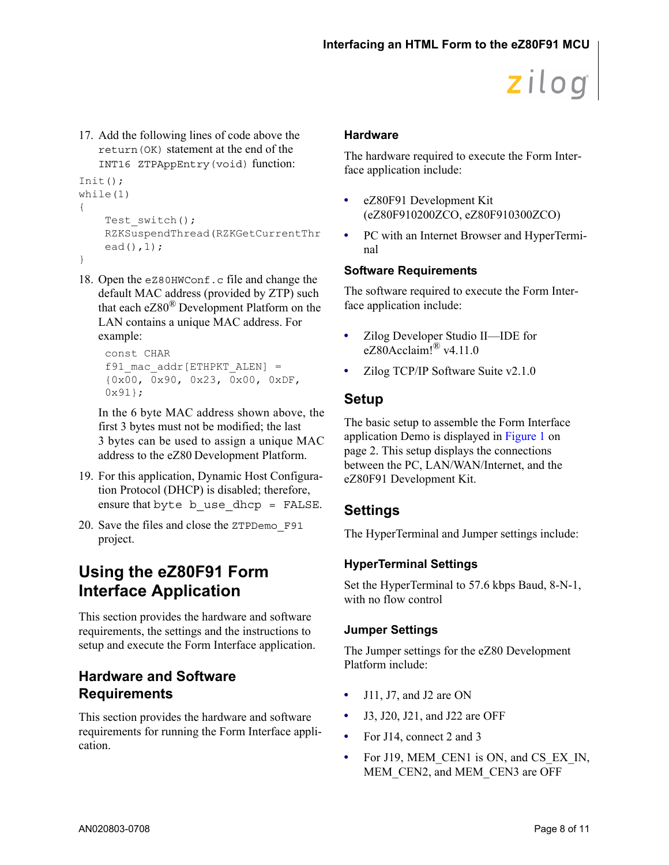17. Add the following lines of code above the return(OK) statement at the end of the INT16 ZTPAppEntry(void) function:

```
Init();
while(1)
{
    Test switch();
    RZKSuspendThread(RZKGetCurrentThr
    ead(),1);
}
```
18. Open the eZ80HWConf.c file and change the default MAC address (provided by ZTP) such that each  $eZ80^{\circledR}$  Development Platform on the LAN contains a unique MAC address. For example:

```
const CHAR 
f91_mac_addr[ETHPKT_ALEN] = 
{0x00, 0x90, 0x23, 0x00, 0xDF, 
0x91;
```
In the 6 byte MAC address shown above, the first 3 bytes must not be modified; the last 3 bytes can be used to assign a unique MAC address to the eZ80 Development Platform.

- 19. For this application, Dynamic Host Configuration Protocol (DHCP) is disabled; therefore, ensure that byte b use dhcp = FALSE.
- 20. Save the files and close the ZTPDemo\_F91 project.

# **Using the eZ80F91 Form Interface Application**

This section provides the hardware and software requirements, the settings and the instructions to setup and execute the Form Interface application.

## <span id="page-7-0"></span>**Hardware and Software Requirements**

This section provides the hardware and software requirements for running the Form Interface application.

### **Hardware**

The hardware required to execute the Form Interface application include:

- **•** eZ80F91 Development Kit (eZ80F910200ZCO, eZ80F910300ZCO)
- **•** PC with an Internet Browser and HyperTerminal

### **Software Requirements**

The software required to execute the Form Interface application include:

- **•** Zilog Developer Studio II—IDE for eZ80Acclaim! $^{\circ}$  v4.11.0
- Zilog TCP/IP Software Suite v2.1.0

## **Setup**

The basic setup to assemble the Form Interface application Demo is displayed in [Figure 1 on](#page-1-0)  [page 2.](#page-1-0) This setup displays the connections between the PC, LAN/WAN/Internet, and the eZ80F91 Development Kit.

## **Settings**

The HyperTerminal and Jumper settings include:

## <span id="page-7-2"></span>**HyperTerminal Settings**

Set the HyperTerminal to 57.6 kbps Baud, 8-N-1, with no flow control

### <span id="page-7-1"></span>**Jumper Settings**

The Jumper settings for the eZ80 Development Platform include:

- **•** J11, J7, and J2 are ON
- **•** J3, J20, J21, and J22 are OFF
- For J14, connect 2 and 3
- For J19, MEM\_CEN1 is ON, and CS\_EX\_IN, MEM\_CEN2, and MEM\_CEN3 are OFF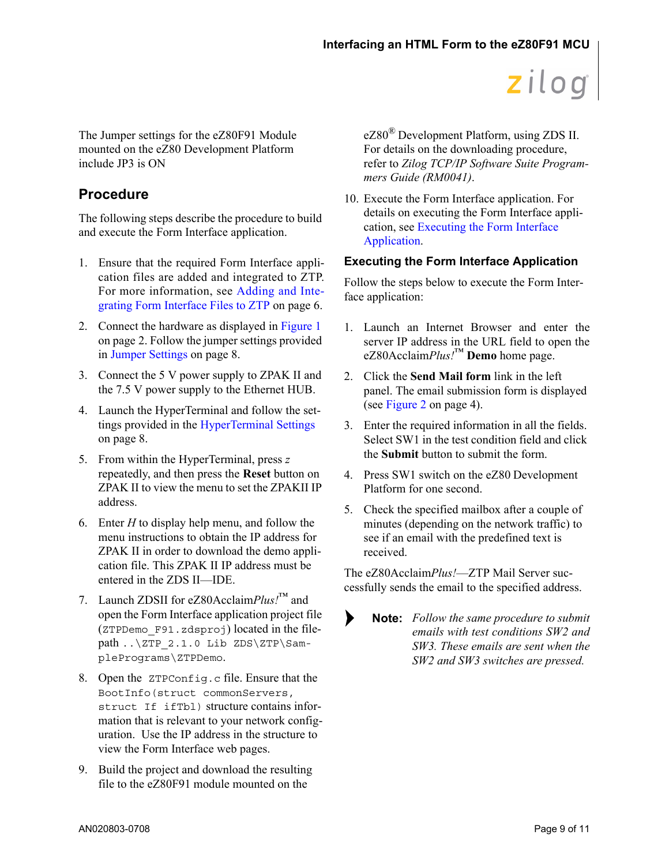The Jumper settings for the eZ80F91 Module mounted on the eZ80 Development Platform include JP3 is ON

## **Procedure**

The following steps describe the procedure to build and execute the Form Interface application.

- 1. Ensure that the required Form Interface application files are added and integrated to ZTP. For more information, see [Adding and Inte](#page-5-0)[grating Form Interface Files to ZTP](#page-5-0) [on page 6.](#page-5-0)
- 2. Connect the hardware as displayed in [Figure 1](#page-1-0) [on page 2](#page-1-0). Follow the jumper settings provided in [Jumper Settings on page 8](#page-7-1).
- 3. Connect the 5 V power supply to ZPAK II and the 7.5 V power supply to the Ethernet HUB.
- 4. Launch the HyperTerminal and follow the settings provided in the [HyperTerminal Settings](#page-7-2) [on page 8.](#page-7-2)
- 5. From within the HyperTerminal, press *z*  repeatedly, and then press the **Reset** button on ZPAK II to view the menu to set the ZPAKII IP address.
- 6. Enter *H* to display help menu, and follow the menu instructions to obtain the IP address for ZPAK II in order to download the demo application file. This ZPAK II IP address must be entered in the ZDS II—IDE.
- 7. Launch ZDSII for eZ80Acclaim*Plus!*™ and open the Form Interface application project file (ZTPDemo\_F91.zdsproj) located in the filepath ..\ZTP 2.1.0 Lib ZDS\ZTP\SamplePrograms\ZTPDemo.
- 8. Open the ZTPConfig.c file. Ensure that the BootInfo(struct commonServers, struct If ifTbl) structure contains information that is relevant to your network configuration. Use the IP address in the structure to view the Form Interface web pages.
- 9. Build the project and download the resulting file to the eZ80F91 module mounted on the

eZ80® Development Platform, using ZDS II. For details on the downloading procedure, refer to *Zilog TCP/IP Software Suite Programmers Guide (RM0041)*.

10. Execute the Form Interface application. For details on executing the Form Interface application, see [Executing the Form Interface](#page-8-0)  [Application.](#page-8-0)

### <span id="page-8-0"></span>**Executing the Form Interface Application**

Follow the steps below to execute the Form Interface application:

- 1. Launch an Internet Browser and enter the server IP address in the URL field to open the eZ80Acclaim*Plus!*™ **Demo** home page.
- 2. Click the **Send Mail form** link in the left panel. The email submission form is displayed (see [Figure 2 on page 4\)](#page-3-0).
- 3. Enter the required information in all the fields. Select SW1 in the test condition field and click the **Submit** button to submit the form.
- 4. Press SW1 switch on the eZ80 Development Platform for one second.
- 5. Check the specified mailbox after a couple of minutes (depending on the network traffic) to see if an email with the predefined text is received.

The eZ80Acclaim*Plus!*—ZTP Mail Server successfully sends the email to the specified address.

 $\blacktriangleright$ 

*Follow the same procedure to submit* **Note:***emails with test conditions SW2 and SW3. These emails are sent when the SW2 and SW3 switches are pressed.*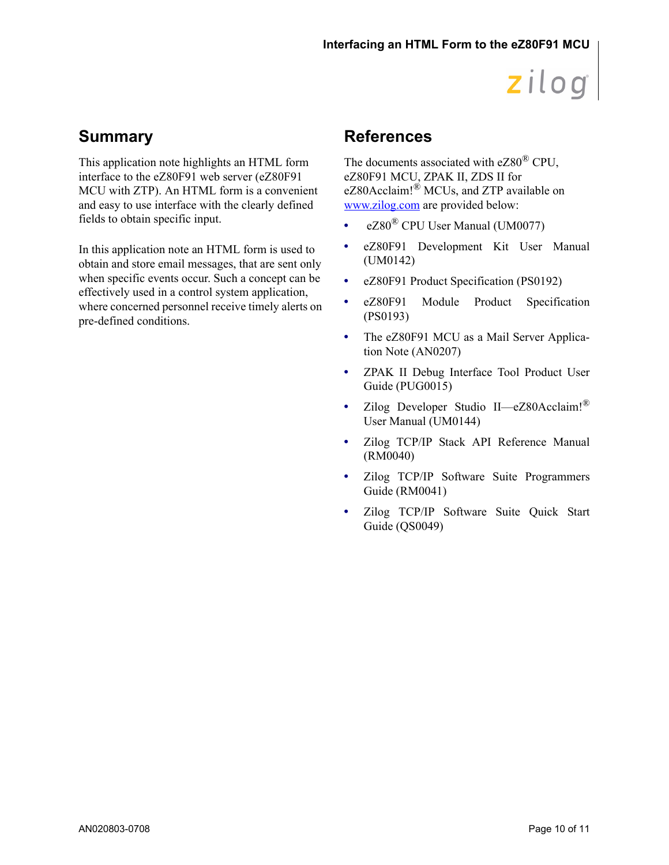# **Summary**

This application note highlights an HTML form interface to the eZ80F91 web server (eZ80F91 MCU with ZTP). An HTML form is a convenient and easy to use interface with the clearly defined fields to obtain specific input.

In this application note an HTML form is used to obtain and store email messages, that are sent only when specific events occur. Such a concept can be effectively used in a control system application, where concerned personnel receive timely alerts on pre-defined conditions.

# **References**

The documents associated with eZ80® CPU, eZ80F91 MCU, ZPAK II, ZDS II for eZ80Acclaim!® MCUs, and ZTP available on [www.zilog.com](http://www.zilog.com) are provided below:

- eZ80<sup>®</sup> CPU User Manual (UM0077)
- **•** eZ80F91 Development Kit User Manual (UM0142)
- **•** eZ80F91 Product Specification (PS0192)
- **•** eZ80F91 Module Product Specification (PS0193)
- **•** The eZ80F91 MCU as a Mail Server Application Note (AN0207)
- **•** ZPAK II Debug Interface Tool Product User Guide (PUG0015)
- **•** Zilog Developer Studio II—eZ80Acclaim!® User Manual (UM0144)
- **•** Zilog TCP/IP Stack API Reference Manual (RM0040)
- **•** Zilog TCP/IP Software Suite Programmers Guide (RM0041)
- **•** Zilog TCP/IP Software Suite Quick Start Guide (QS0049)